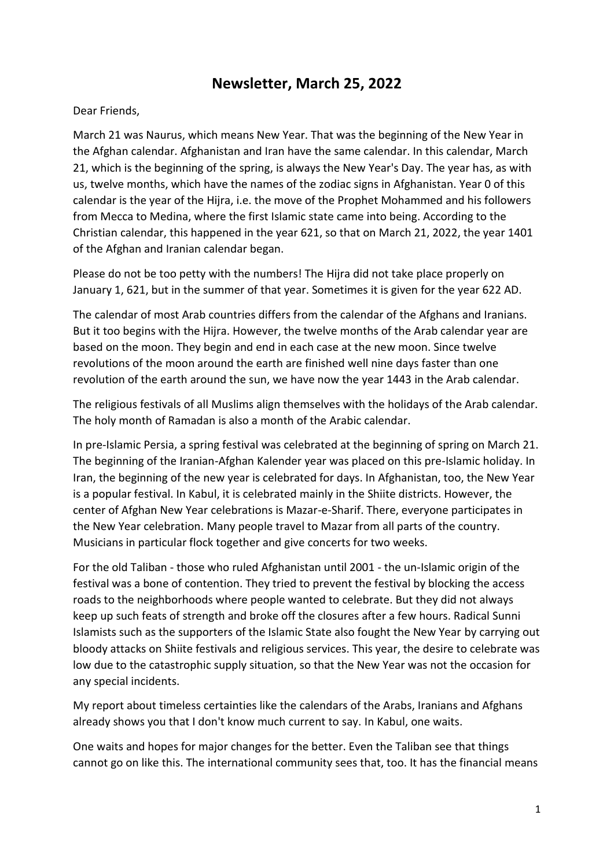## **Newsletter, March 25, 2022**

## Dear Friends,

March 21 was Naurus, which means New Year. That was the beginning of the New Year in the Afghan calendar. Afghanistan and Iran have the same calendar. In this calendar, March 21, which is the beginning of the spring, is always the New Year's Day. The year has, as with us, twelve months, which have the names of the zodiac signs in Afghanistan. Year 0 of this calendar is the year of the Hijra, i.e. the move of the Prophet Mohammed and his followers from Mecca to Medina, where the first Islamic state came into being. According to the Christian calendar, this happened in the year 621, so that on March 21, 2022, the year 1401 of the Afghan and Iranian calendar began.

Please do not be too petty with the numbers! The Hijra did not take place properly on January 1, 621, but in the summer of that year. Sometimes it is given for the year 622 AD.

The calendar of most Arab countries differs from the calendar of the Afghans and Iranians. But it too begins with the Hijra. However, the twelve months of the Arab calendar year are based on the moon. They begin and end in each case at the new moon. Since twelve revolutions of the moon around the earth are finished well nine days faster than one revolution of the earth around the sun, we have now the year 1443 in the Arab calendar.

The religious festivals of all Muslims align themselves with the holidays of the Arab calendar. The holy month of Ramadan is also a month of the Arabic calendar.

In pre-Islamic Persia, a spring festival was celebrated at the beginning of spring on March 21. The beginning of the Iranian-Afghan Kalender year was placed on this pre-Islamic holiday. In Iran, the beginning of the new year is celebrated for days. In Afghanistan, too, the New Year is a popular festival. In Kabul, it is celebrated mainly in the Shiite districts. However, the center of Afghan New Year celebrations is Mazar-e-Sharif. There, everyone participates in the New Year celebration. Many people travel to Mazar from all parts of the country. Musicians in particular flock together and give concerts for two weeks.

For the old Taliban - those who ruled Afghanistan until 2001 - the un-Islamic origin of the festival was a bone of contention. They tried to prevent the festival by blocking the access roads to the neighborhoods where people wanted to celebrate. But they did not always keep up such feats of strength and broke off the closures after a few hours. Radical Sunni Islamists such as the supporters of the Islamic State also fought the New Year by carrying out bloody attacks on Shiite festivals and religious services. This year, the desire to celebrate was low due to the catastrophic supply situation, so that the New Year was not the occasion for any special incidents.

My report about timeless certainties like the calendars of the Arabs, Iranians and Afghans already shows you that I don't know much current to say. In Kabul, one waits.

One waits and hopes for major changes for the better. Even the Taliban see that things cannot go on like this. The international community sees that, too. It has the financial means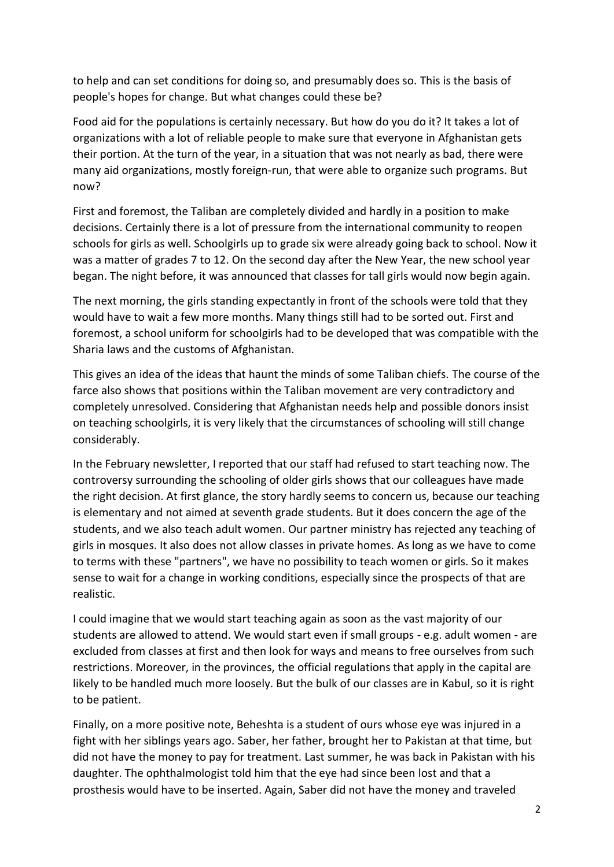to help and can set conditions for doing so, and presumably does so. This is the basis of people's hopes for change. But what changes could these be?

Food aid for the populations is certainly necessary. But how do you do it? It takes a lot of organizations with a lot of reliable people to make sure that everyone in Afghanistan gets their portion. At the turn of the year, in a situation that was not nearly as bad, there were many aid organizations, mostly foreign-run, that were able to organize such programs. But now?

First and foremost, the Taliban are completely divided and hardly in a position to make decisions. Certainly there is a lot of pressure from the international community to reopen schools for girls as well. Schoolgirls up to grade six were already going back to school. Now it was a matter of grades 7 to 12. On the second day after the New Year, the new school year began. The night before, it was announced that classes for tall girls would now begin again.

The next morning, the girls standing expectantly in front of the schools were told that they would have to wait a few more months. Many things still had to be sorted out. First and foremost, a school uniform for schoolgirls had to be developed that was compatible with the Sharia laws and the customs of Afghanistan.

This gives an idea of the ideas that haunt the minds of some Taliban chiefs. The course of the farce also shows that positions within the Taliban movement are very contradictory and completely unresolved. Considering that Afghanistan needs help and possible donors insist on teaching schoolgirls, it is very likely that the circumstances of schooling will still change considerably.

In the February newsletter, I reported that our staff had refused to start teaching now. The controversy surrounding the schooling of older girls shows that our colleagues have made the right decision. At first glance, the story hardly seems to concern us, because our teaching is elementary and not aimed at seventh grade students. But it does concern the age of the students, and we also teach adult women. Our partner ministry has rejected any teaching of girls in mosques. It also does not allow classes in private homes. As long as we have to come to terms with these "partners", we have no possibility to teach women or girls. So it makes sense to wait for a change in working conditions, especially since the prospects of that are realistic.

I could imagine that we would start teaching again as soon as the vast majority of our students are allowed to attend. We would start even if small groups - e.g. adult women - are excluded from classes at first and then look for ways and means to free ourselves from such restrictions. Moreover, in the provinces, the official regulations that apply in the capital are likely to be handled much more loosely. But the bulk of our classes are in Kabul, so it is right to be patient.

Finally, on a more positive note, Beheshta is a student of ours whose eye was injured in a fight with her siblings years ago. Saber, her father, brought her to Pakistan at that time, but did not have the money to pay for treatment. Last summer, he was back in Pakistan with his daughter. The ophthalmologist told him that the eye had since been lost and that a prosthesis would have to be inserted. Again, Saber did not have the money and traveled